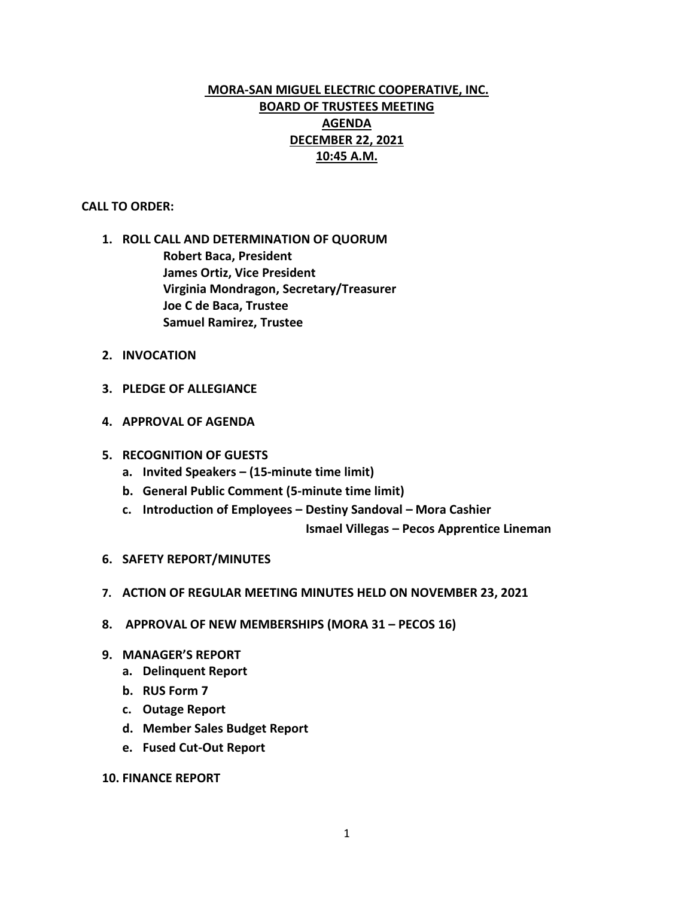# **MORA-SAN MIGUEL ELECTRIC COOPERATIVE, INC. BOARD OF TRUSTEES MEETING AGENDA DECEMBER 22, 2021 10:45 A.M.**

## **CALL TO ORDER:**

- **1. ROLL CALL AND DETERMINATION OF QUORUM Robert Baca, President James Ortiz, Vice President Virginia Mondragon, Secretary/Treasurer Joe C de Baca, Trustee Samuel Ramirez, Trustee**
- **2. INVOCATION**
- **3. PLEDGE OF ALLEGIANCE**
- **4. APPROVAL OF AGENDA**
- **5. RECOGNITION OF GUESTS**
	- **a. Invited Speakers – (15-minute time limit)**
	- **b. General Public Comment (5-minute time limit)**
	- **c. Introduction of Employees – Destiny Sandoval – Mora Cashier**

 **Ismael Villegas – Pecos Apprentice Lineman** 

- **6. SAFETY REPORT/MINUTES**
- **7. ACTION OF REGULAR MEETING MINUTES HELD ON NOVEMBER 23, 2021**
- **8. APPROVAL OF NEW MEMBERSHIPS (MORA 31 – PECOS 16)**
- **9. MANAGER'S REPORT**
	- **a. Delinquent Report**
	- **b. RUS Form 7**
	- **c. Outage Report**
	- **d. Member Sales Budget Report**
	- **e. Fused Cut-Out Report**
- **10. FINANCE REPORT**